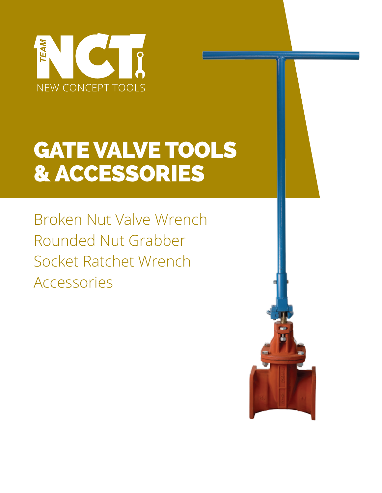

# **GATE VALVE TOOLS** & ACCESSORIES

Broken Nut Valve Wrench Rounded Nut Grabber Socket Ratchet Wrench Accessories

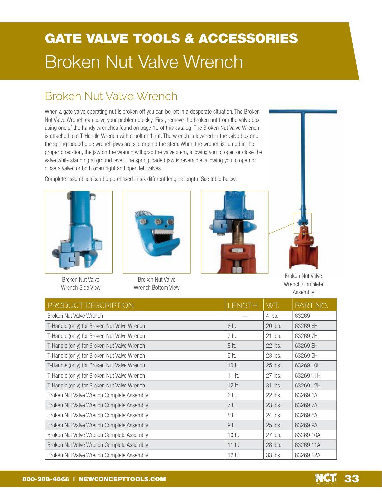# **GATE VALVE TOOLS & ACCESSORIES Broken Nut Valve Wrench**

### Broken Nut Valve Wrench

When a gate valve operating nut is broken off you can be left in a desperate situation. The Broken Nut Valve Wrench can solve your problem quickly. First, remove the broken nut from the valve box using one of the handy wrenches found on page 19 of this catalog. The Broken Nut Valve Wrench is attached to a T-Handle Wrench with a bolt and nut. The wrench is lowered in the valve box and the spring loaded pipe wrench jaws are slid around the stem. When the wrench is turned in the proper direc-tion, the jaw on the wrench will grab the valve stem, allowing you to open or close the valve while standing at ground level. The spring loaded jaw is reversible, allowing you to open or close a valve for both open right and open left valves.

Complete assemblies can be purchased in six different lengths length. See table below.





**Broken Nut Valve** Wrench Side View

**Broken Nut Valve** Wrench Bottom View





**Broken Nut Valve** Wrench Complete Assembly

| PRODUCT DESCRIPTION                         | <b>LENGTH</b> | WT.     | PART NO.  |
|---------------------------------------------|---------------|---------|-----------|
| Broken Nut Valve Wrench                     |               | 4 lbs.  | 63269     |
| T-Handle (only) for Broken Nut Valve Wrench | 6 ft.         | 20 lbs. | 63269 6H  |
| T-Handle (only) for Broken Nut Valve Wrench | 7 ft.         | 21 lbs. | 632697H   |
| T-Handle (only) for Broken Nut Valve Wrench | 8 ft.         | 22 lbs. | 63269 8H  |
| T-Handle (only) for Broken Nut Valve Wrench | 9 ft.         | 23 lbs. | 63269 9H  |
| T-Handle (only) for Broken Nut Valve Wrench | $10$ ft.      | 25 lbs. | 63269 10H |
| T-Handle (only) for Broken Nut Valve Wrench | $11$ ft.      | 27 lbs. | 63269 11H |
| T-Handle (only) for Broken Nut Valve Wrench | 12 ft.        | 31 lbs. | 63269 12H |
| Broken Nut Valve Wrench Complete Assembly   | 6 ft.         | 22 lbs. | 63269 6A  |
| Broken Nut Valve Wrench Complete Assembly   | 7 ft.         | 23 lbs. | 632697A   |
| Broken Nut Valve Wrench Complete Assembly   | 8 ft.         | 24 lbs. | 63269 8A  |
| Broken Nut Valve Wrench Complete Assembly   | 9 ft.         | 25 lbs. | 63269 9A  |
| Broken Nut Valve Wrench Complete Assembly   | $10$ ft.      | 27 lbs. | 63269 10A |
| Broken Nut Valve Wrench Complete Assembly   | $11$ ft.      | 28 lbs. | 63269 11A |
| Broken Nut Valve Wrench Complete Assembly   | 12 ft.        | 33 lbs. | 63269 12A |

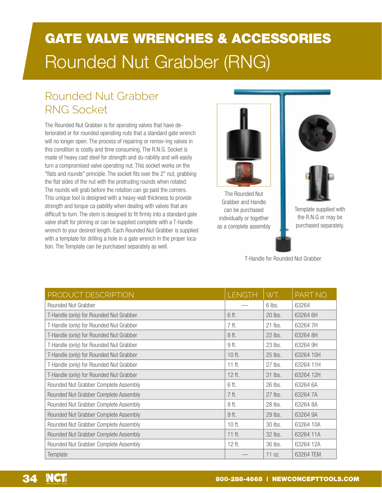# **GATE VALVE WRENCHES & ACCESSORIES** Rounded Nut Grabber (RNG)

### Rounded Nut Grabber RNG Socket

The Rounded Nut Grabber is for operating valves that have deteriorated or for rounded operating nuts that a standard gate wrench will no longer open. The process of repairing or remov-ing valves in this condition is costly and time consuming. The R.N.G. Socket is made of heavy cast steel for strength and du-rability and will easily turn a compromised valve operating nut. This socket works on the "flats and rounds" principle. The socket fits over the 2" nut, grabbing the flat sides of the nut with the protruding rounds when rotated. The rounds will grab before the rotation can go past the corners. This unique tool is designed with a heavy-wall thickness to provide strength and torque ca-pability when dealing with valves that are difficult to turn. The stem is designed to fit firmly into a standard gate valve shaft for pinning or can be supplied complete with a T-handle wrench to your desired length. Each Rounded Nut Grabber is supplied with a template for drilling a hole in a gate wrench in the proper location. The Template can be purchased separately as well.



The Rounded Nut Grabber and Handle can be purchased individually or together as a complete assembly





Template supplied with the R.N.G or may be purchased separately.

T-Handle for Rounded Nut Grabber

| PRODUCT DESCRIPTION                     | <b>LENGTH</b> | WT.     | PART NO.  |
|-----------------------------------------|---------------|---------|-----------|
| Rounded Nut Grabber                     |               | 6 lbs.  | 63264     |
| T-Handle (only) for Rounded Nut Grabber | 6 ft.         | 20 lbs. | 63264 6H  |
| T-Handle (only) for Rounded Nut Grabber | 7 ft.         | 21 lbs. | 632647H   |
| T-Handle (only) for Rounded Nut Grabber | 8 ft.         | 22 lbs. | 63264 8H  |
| T-Handle (only) for Rounded Nut Grabber | 9 ft.         | 23 lbs. | 63264 9H  |
| T-Handle (only) for Rounded Nut Grabber | 10 ft.        | 25 lbs. | 63264 10H |
| T-Handle (only) for Rounded Nut Grabber | $11$ ft.      | 27 lbs. | 63264 11H |
| T-Handle (only) for Rounded Nut Grabber | 12 ft.        | 31 lbs. | 63264 12H |
| Rounded Nut Grabber Complete Assembly   | 6 ft.         | 26 lbs. | 63264 6A  |
| Rounded Nut Grabber Complete Assembly   | 7 ft.         | 27 lbs. | 632647A   |
| Rounded Nut Grabber Complete Assembly   | 8 ft.         | 28 lbs. | 63264 8A  |
| Rounded Nut Grabber Complete Assembly   | 9 ft.         | 29 lbs. | 63264 9A  |
| Rounded Nut Grabber Complete Assembly   | 10 ft.        | 30 lbs. | 63264 10A |
| Rounded Nut Grabber Complete Assembly   | $11$ ft.      | 32 lbs. | 63264 11A |
| Rounded Nut Grabber Complete Assembly   | 12 ft.        | 36 lbs. | 63264 12A |
| Template                                |               | 11 oz.  | 63264 TEM |

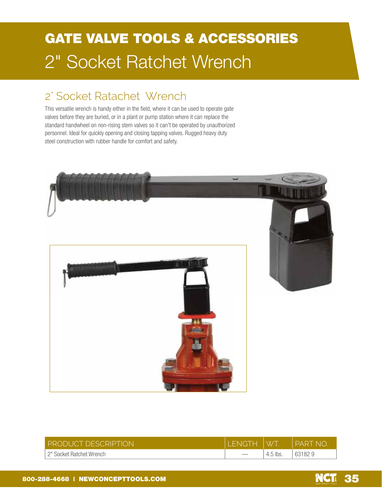# **GATE VALVE TOOLS & ACCESSORIES** 2" Socket Ratchet Wrench

#### 2" Socket Ratachet Wrench

This versatile wrench is handy either in the field, where it can be used to operate gate valves before they are buried, or in a plant or pump station where it can replace the standard handwheel on non-rising stem valves so it can't be operated by unauthorized personnel. Ideal for quickly opening and closing tapping valves. Rugged heavy duty steel construction with rubber handle for comfort and safety.



| <b>PRODUCT DESCRIPTION</b> | <b>FNGTH</b> | <b>W7</b>  | PART<br>e nio |
|----------------------------|--------------|------------|---------------|
| 2" Socket Ratchet Wrench   |              | $4.5$ lbs. | 631829        |

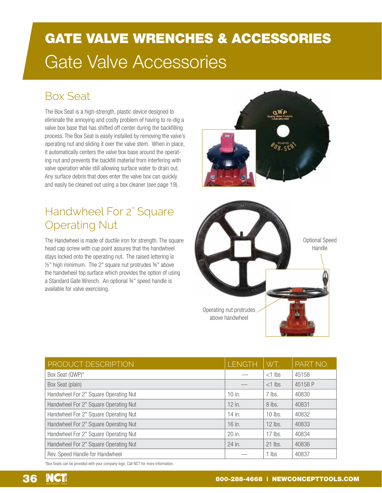# **GATE VALVE WRENCHES & ACCESSORIES Gate Valve Accessories**

#### **Box Seat**

The Box Seat is a high-strength, plastic device designed to eliminate the annoying and costly problem of having to re-dig a valve box base that has shifted off center during the backfilling process. The Box Seat is easily installed by removing the valve's operating nut and sliding it over the valve stem. When in place, it automatically centers the valve box base around the operating nut and prevents the backfill material from interfering with valve operation while still allowing surface water to drain out. Any surface debris that does enter the valve box can quickly and easily be cleaned out using a box cleaner (see page 19).

### Handwheel For 2" Square **Operating Nut**

The Handwheel is made of ductile iron for strength. The square head cap screw with cup point assures that the handwheel stays locked onto the operating nut. The raised lettering is 1/2" high minimum. The 2" square nut protrudes 3/4" above the handwheel top surface which provides the option of using a Standard Gate Wrench. An optional 34" speed handle is available for valve exercising.





| PRODUCT DESCRIPTION                   | <b>LENGTH</b> | WT.       | PART NO. |
|---------------------------------------|---------------|-----------|----------|
| Box Seat (QWP)*                       |               | $<$ 1 lbs | 45158    |
| Box Seat (plain)                      |               | $<$ 1 lbs | 45158 P  |
| Handwheel For 2" Square Operating Nut | $10$ in.      | $7$ lbs.  | 40830    |
| Handwheel For 2" Square Operating Nut | $12$ in.      | 8 lbs.    | 40831    |
| Handwheel For 2" Square Operating Nut | 14 in.        | $10$ lbs. | 40832    |
| Handwheel For 2" Square Operating Nut | 16 in.        | $12$ lbs. | 40833    |
| Handwheel For 2" Square Operating Nut | 20 in.        | $17$ lbs. | 40834    |
| Handwheel For 2" Square Operating Nut | 24 in.        | 21 lbs.   | 40836    |
| Rev. Speed Handle for Handwheel       |               | $1$ lbs   | 40837    |

\*Box Seats can be provided with your company logo. Call NCT for more information.